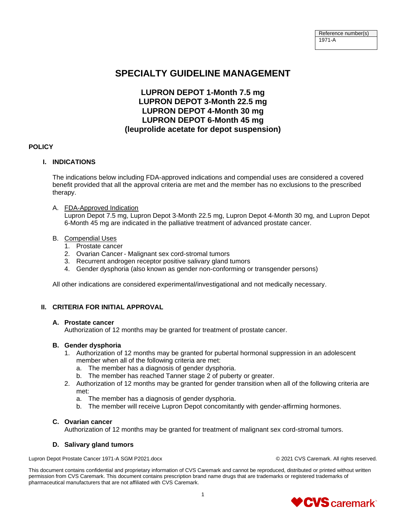# **SPECIALTY GUIDELINE MANAGEMENT**

# **LUPRON DEPOT 1-Month 7.5 mg LUPRON DEPOT 3-Month 22.5 mg LUPRON DEPOT 4-Month 30 mg LUPRON DEPOT 6-Month 45 mg (leuprolide acetate for depot suspension)**

# **POLICY**

# **I. INDICATIONS**

The indications below including FDA-approved indications and compendial uses are considered a covered benefit provided that all the approval criteria are met and the member has no exclusions to the prescribed therapy.

A. FDA-Approved Indication

Lupron Depot 7.5 mg, Lupron Depot 3-Month 22.5 mg, Lupron Depot 4-Month 30 mg, and Lupron Depot 6-Month 45 mg are indicated in the palliative treatment of advanced prostate cancer.

#### B. Compendial Uses

- 1. Prostate cancer
- 2. Ovarian Cancer Malignant sex cord-stromal tumors
- 3. Recurrent androgen receptor positive salivary gland tumors
- 4. Gender dysphoria (also known as gender non-conforming or transgender persons)

All other indications are considered experimental/investigational and not medically necessary.

# **II. CRITERIA FOR INITIAL APPROVAL**

# **A. Prostate cancer**

Authorization of 12 months may be granted for treatment of prostate cancer.

# **B. Gender dysphoria**

- 1. Authorization of 12 months may be granted for pubertal hormonal suppression in an adolescent member when all of the following criteria are met:
	- a. The member has a diagnosis of gender dysphoria.
	- b. The member has reached Tanner stage 2 of puberty or greater.
- 2. Authorization of 12 months may be granted for gender transition when all of the following criteria are met:
	- a. The member has a diagnosis of gender dysphoria.
	- b. The member will receive Lupron Depot concomitantly with gender-affirming hormones.

# **C. Ovarian cancer**

Authorization of 12 months may be granted for treatment of malignant sex cord-stromal tumors.

#### **D. Salivary gland tumors**

Lupron Depot Prostate Cancer 1971-A SGM P2021.docx © 2021 CVS Caremark. All rights reserved.

This document contains confidential and proprietary information of CVS Caremark and cannot be reproduced, distributed or printed without written permission from CVS Caremark. This document contains prescription brand name drugs that are trademarks or registered trademarks of pharmaceutical manufacturers that are not affiliated with CVS Caremark.